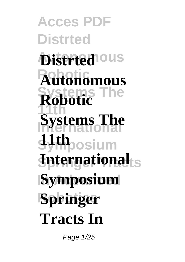**Acces PDF Distrted Distrted**<sup>ous</sup> **Robotic Autonomous Systems The 11th Systems The Symposium International**ts **Symposium Robotics Springer Robotic 11th Tracts In**

Page 1/25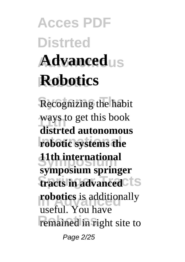# **Acces PDF Distrted** Advanced<sub>us</sub> **Robotic Robotics**

**Recognizing the habit 11th** ways to get this book **robotic systems the Symposium 11th international tracts** in advanced<sup>cts</sup> **robotics** is additionally **Remained in right site to distrted autonomous symposium springer** useful. You have Page 2/25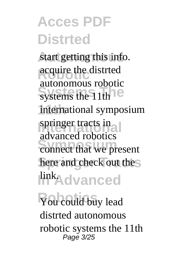start getting this info. acquire the distrted systems the 11th<sup>10</sup> international symposium springer tracts in **Symposium** connect that we present here and check out thes **linkAdvanced** autonomous robotic advanced robotics

You could buy lead distrted autonomous robotic systems the 11th Page 3/25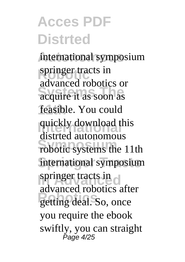international symposium springer tracts in acquire it as soon as feasible. You could quickly download this robotic systems the 11th international symposium springer tracts in getting deal. So, once advanced robotics or distrted autonomous advanced robotics after you require the ebook swiftly, you can straight Page 4/25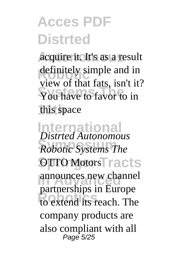acquire it. It's as a result definitely simple and in You have to favor to in **11th** this space view of that fats, isn't it?

**International** *Distrted Autonomous* **Symposium** *Robotic Systems The* OTTO Motors **Tracts** announces new channel to extend its reach. The partnerships in Europe company products are also compliant with all Page 5/25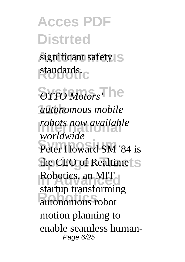significant safety standards.<sub>C</sub>

 $\overline{OTTOMotors}$ , i.e. **11th** *autonomous mobile <i>robots now available* Peter Howard SM '84 is the CEO of Realtime Robotics, an MIT **Robotics** autonomous robot *worldwide* startup transforming motion planning to enable seamless human-Page 6/25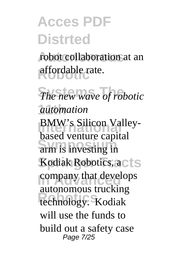robot collaboration at an **Robotic** affordable rate.

**The new wave of robotic 11th** *automation* **BMW's Silicon Valley-Subset Venture expression** Kodiak Robotics, acts company that develops **Robotics** technology. Kodiak based venture capital autonomous trucking will use the funds to build out a safety case Page 7/25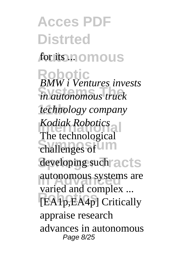**Acces PDF Distrted Autonomous** for its ... **Robotic** *BMW i Ventures invests* **Systems The** *in autonomous truck* **11th** *technology company* **International** *Kodiak Robotics* challenges of developing such acts autonomous systems are **Robotics** and complex ... The technological varied and complex ... appraise research advances in autonomous Page 8/25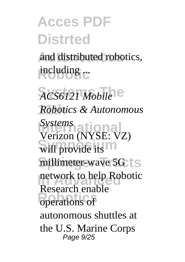and distributed robotics, **Robotic** including ...

 $ACSO121 Mobile$ <sup>e</sup> **11th** *Robotics & Autonomous* **International** *Systems* will provide its millimeter-wave 5G network to help Robotic **Robotical** change Verizon (NYSE: VZ) Research enable autonomous shuttles at the U.S. Marine Corps Page 9/25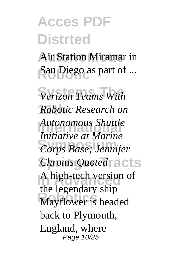**Air Station Miramar in** San Diego as part of ...

 $\sqrt{V}$ *Verizon Teams With* **11th** *Robotic Research on* **International** *Autonomous Shuttle* **Symposium** *Corps Base; Jennifer* **Chronis Quoted** acts A high-tech version of **Robotics** Mayflower is headed *Initiative at Marine* the legendary ship back to Plymouth, England, where Page 10/25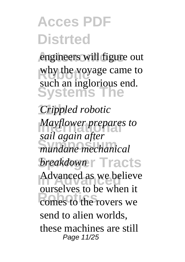engineers will figure out why the voyage came to **Systems** such an inglorious end.

**11th** *Crippled robotic Mayflower prepares to* **Symposium** *mundane mechanical* **Springer Tracts** *breakdown* **In Advanced** Advanced as we believe comes to the rovers we *sail again after* ourselves to be when it send to alien worlds, these machines are still Page 11/25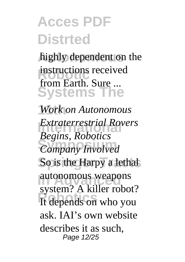highly dependent on the **instructions received Systems The** from Earth. Sure ...

**11th** *Work on Autonomous Extraterrestrial Rovers* **Symposium** *Company Involved* So is the Harpy a lethal autonomous weapons **Robotics** It depends on who you *Begins, Robotics* system? A killer robot? ask. IAI's own website describes it as such, Page 12/25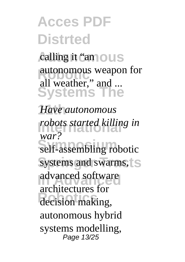calling it "amous autonomous weapon for **Systems The** all weather," and ...

**11th** *Have autonomous robots started killing in* self-assembling robotic systems and swarms, advanced software **Robotics** decision making, *war?* architectures for autonomous hybrid systems modelling, Page 13/25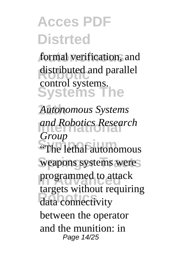formal verification, and distributed and parallel **Systems The** control systems.

**11th** *Autonomous Systems* **International** *and Robotics Research* **Shoup**<br>
"The lethal autonomous weapons systems were programmed to attack **Robotics** data connectivity *Group* targets without requiring between the operator and the munition: in Page 14/25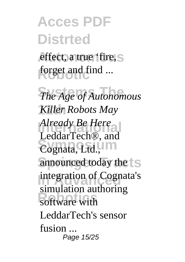effect, a true 'fire, S forget and find ...

**The Age of Autonomous 11th** *Killer Robots May* Already Be Here Cognata, Ltd., **M** announced today the  $\vert$  S integration of Cognata's software with LeddarTech®, and simulation authoring LeddarTech's sensor fusion ... Page 15/25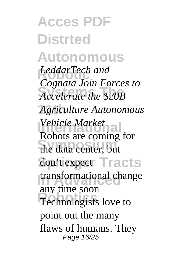**Acces PDF Distrted Autonomous** LeddarTech and<br>Communication Equator **Systems The** *Accelerate the \$20B* **11th** *Agriculture Autonomous* **Vehicle Market**<br> **P** the data center, but don't expect Tracts transformational change Technologists love to *Cognata Join Forces to* Robots are coming for any time soon point out the many flaws of humans. They Page 16/25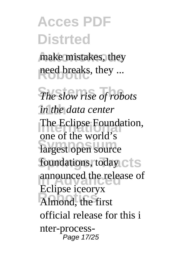make mistakes, they need breaks, they ...

*The slow rise of robots* **11th** *in the data center* The Eclipse Foundation, largest open source foundations, today C<sup>1</sup>S announced the release of **Robotics** Almond, the first one of the world's Eclipse iceoryx official release for this i nter-process-Page 17/25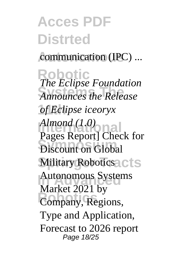communication (IPC) ...

**Robotic** *The Eclipse Foundation* **Systems The** *Announces the Release* **11th** *of Eclipse iceoryx* **International** *Almond (1.0)* **Discount on Global Military Robotics** CLS Autonomous Systems **Company**, Regions, Pages Report] Check for Market 2021 by Type and Application, Forecast to 2026 report Page 18/25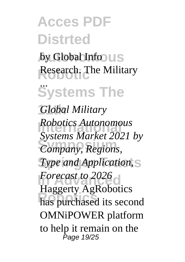by Global Info US Research. The Military

**Systems The** ...

**11th** *Global Military Robotics Autonomous* **Symposium** *Company, Regions,* **Type and Application,** S *Forecast to 2026* has purchased its second *Systems Market 2021 by* Haggerty AgRobotics OMNiPOWER platform to help it remain on the Page 19/25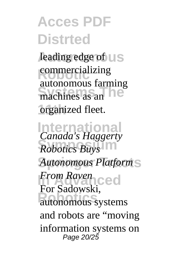leading edge of **US commercializing** machines as an **11th** organized fleet. autonomous farming

**International** *Canada's Haggerty* **Symposium** *Robotics Buys*  $Autonomous$  *Platform* **In Advanced** *From Raven* autonomous systems For Sadowski, and robots are "moving information systems on Page 20/25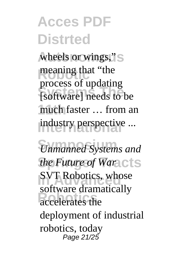wheels or wings,"S meaning that "the **Systems The** [software] needs to be much faster ... from an industry perspective ... process of updating

**Symposium** *Unmanned Systems and the Future of Waracts* **SVT Robotics, whose** accelerates the software dramatically deployment of industrial robotics, today Page 21/25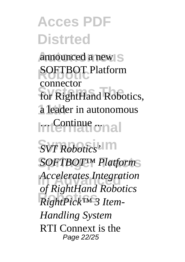announced a new S **SOFTBOT Platform** for RightHand Robotics, a leader in autonomous International connector

 $\overline{SVT \; Robotics'}$  $SOFTBOT™$  *Platform* **In Advanced** *Accelerates Integration* **Robotics** *RightPick™ 3 Itemof RightHand Robotics Handling System* RTI Connext is the Page 22/25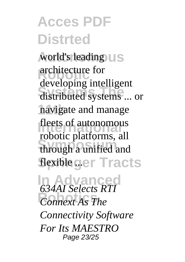world's leading **UIS** architecture for<br>developing intelligent distributed systems ... or **11th** navigate and manage fleets of autonomous through a unified and flexible ger Tracts architecture for robotic platforms, all

**In Advanced** *Connext As The 634AI Selects RTI Connectivity Software For Its MAESTRO* Page 23/25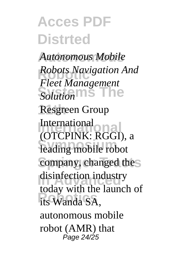**Autonomous** *Autonomous Mobile Robots Navigation And*<br> *Robots Management* **Solution**<sup>S</sup> Resgreen Group **International** (OTCPINK: RGGI), a leading mobile robot company, changed the disinfection industry its Wanda SA, *Fleet Management* International today with the launch of autonomous mobile robot (AMR) that Page 24/25